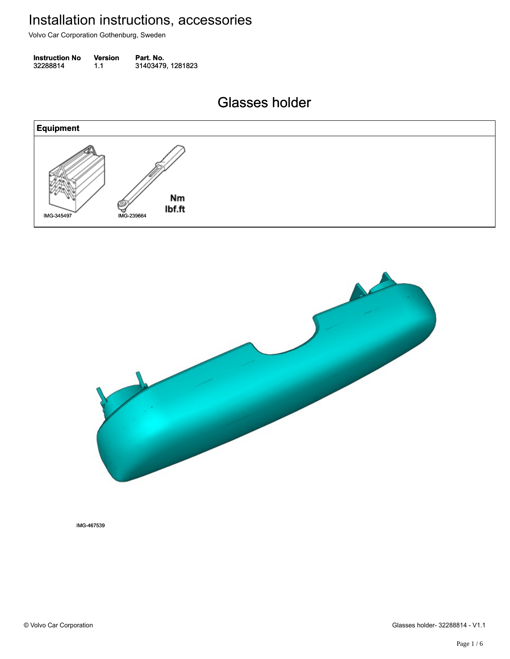Volvo Car Corporation Gothenburg, Sweden

| <b>Instruction No</b> | <b>Version</b> | Part. No.         |
|-----------------------|----------------|-------------------|
| 32288814              | 1.1            | 31403479, 1281823 |

Glasses holder Glasses holder





IMG-467539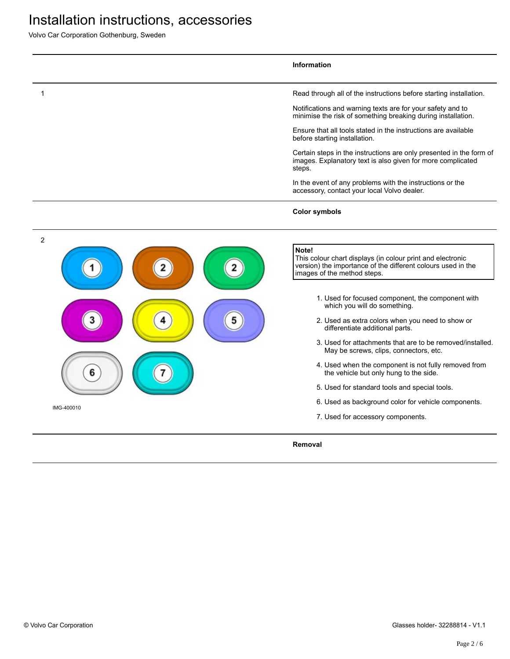Volvo Car Corporation Gothenburg, Sweden

|                              | <b>Information</b>                                                                                                                                                                                                                                                                                                                                                                                                                                                                                                                                                                                                                                                                                   |
|------------------------------|------------------------------------------------------------------------------------------------------------------------------------------------------------------------------------------------------------------------------------------------------------------------------------------------------------------------------------------------------------------------------------------------------------------------------------------------------------------------------------------------------------------------------------------------------------------------------------------------------------------------------------------------------------------------------------------------------|
| 1                            | Read through all of the instructions before starting installation.                                                                                                                                                                                                                                                                                                                                                                                                                                                                                                                                                                                                                                   |
|                              | Notifications and warning texts are for your safety and to<br>minimise the risk of something breaking during installation.                                                                                                                                                                                                                                                                                                                                                                                                                                                                                                                                                                           |
|                              | Ensure that all tools stated in the instructions are available<br>before starting installation.                                                                                                                                                                                                                                                                                                                                                                                                                                                                                                                                                                                                      |
|                              | Certain steps in the instructions are only presented in the form of<br>images. Explanatory text is also given for more complicated<br>steps.                                                                                                                                                                                                                                                                                                                                                                                                                                                                                                                                                         |
|                              | In the event of any problems with the instructions or the<br>accessory, contact your local Volvo dealer.                                                                                                                                                                                                                                                                                                                                                                                                                                                                                                                                                                                             |
|                              | <b>Color symbols</b>                                                                                                                                                                                                                                                                                                                                                                                                                                                                                                                                                                                                                                                                                 |
| $\overline{2}$<br>IMG-400010 | Note!<br>This colour chart displays (in colour print and electronic<br>version) the importance of the different colours used in the<br>images of the method steps.<br>1. Used for focused component, the component with<br>which you will do something.<br>2. Used as extra colors when you need to show or<br>differentiate additional parts.<br>3. Used for attachments that are to be removed/installed.<br>May be screws, clips, connectors, etc.<br>4. Used when the component is not fully removed from<br>the vehicle but only hung to the side.<br>5. Used for standard tools and special tools.<br>6. Used as background color for vehicle components.<br>7. Used for accessory components. |
|                              | Removal                                                                                                                                                                                                                                                                                                                                                                                                                                                                                                                                                                                                                                                                                              |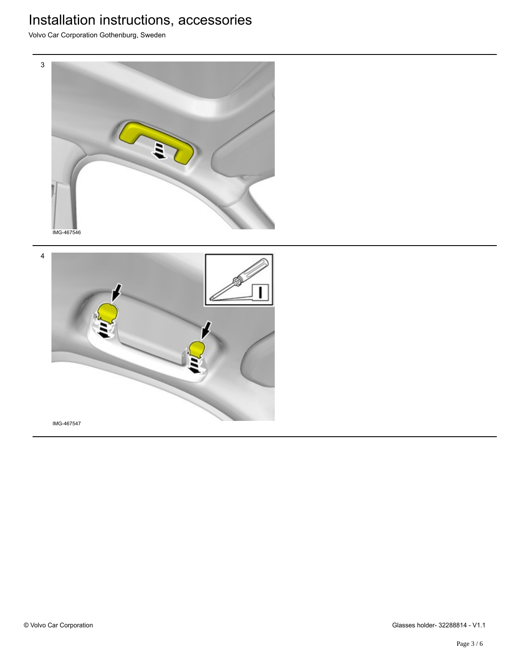Volvo Car Corporation Gothenburg, Sweden



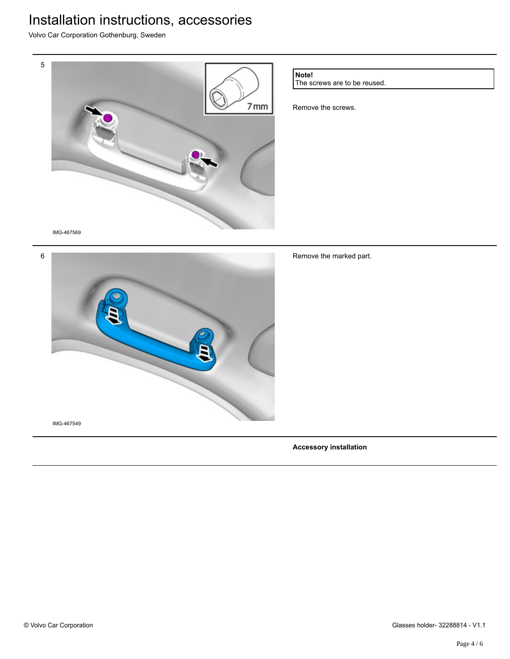Volvo Car Corporation Gothenburg, Sweden



6 IMG-467549

Remove the marked part.

**Accessory installation**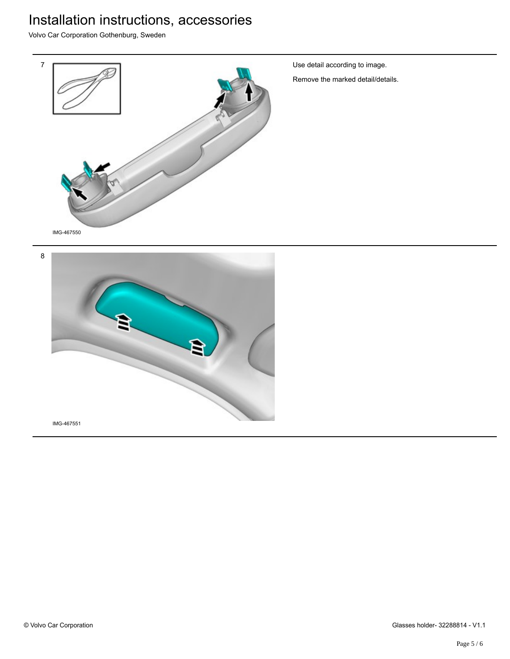Volvo Car Corporation Gothenburg, Sweden